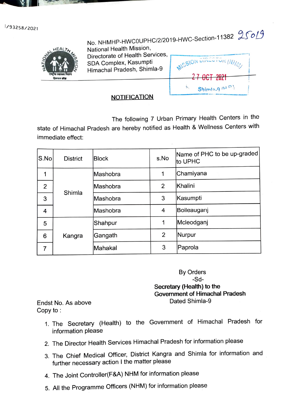1/93258/2021



No. NHMHP-HWCOUPHC/2/2019-HWC-Section-11382  $25019$ National Health Mission, Directorate of Health Services, SDA Complex, Kasumpti Himachal Pradesh, Shimla-9

**MISSION DIE** <del>- 47 OCT 2021</del>  $Shimla.9$   $(11)^{D}$ 

## **NOTIFICATION**

The following 7 Urban Primary Health Centers in the state of Himachal Pradesh are hereby notified as Health & Wellness Centers with immediate effect:

| S.No           | <b>District</b> | <b>Block</b> | s.No           | Name of PHC to be up-graded<br>to UPHC |
|----------------|-----------------|--------------|----------------|----------------------------------------|
| 1              | Shimla          | Mashobra     | 1              | Chamiyana                              |
| $\overline{2}$ |                 | Mashobra     | $\overline{2}$ | Khalini                                |
| 3              |                 | Mashobra     | 3              | Kasumpti                               |
| 4              |                 | Mashobra     | 4              | Boileauganj                            |
| 5              | Kangra          | Shahpur      | 1              | Mcleodganj                             |
| 6              |                 | Gangath      | 2              | Nurpur                                 |
| 7              |                 | Mahakal      | 3              | Paprola                                |

By Orders -Sd-Secretary (Health) to the Government of Himachal Pradesh Dated Shimla-9 Endst No. As above

Copy to:

- 1. The Secretary (Health) to the Government of Himachal Pradesh for information please
- 2. The Director Health Services Himachal Pradesh for information please
- 3. The Chief Medical Officer, District Kangra and Shimla for information and further necessary action I the matter please
- 4. The Joint Controller(F&A) NHM for information please
- 5. All the Programme Officers (NHM) for information please